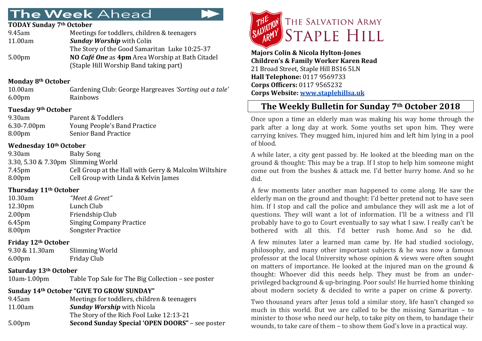# **The Week Ahead**

### **TODAY Sunday 7th October**

| 9.45am             | Meetings for toddlers, children & teenagers     |
|--------------------|-------------------------------------------------|
| 11.00am            | <b>Sunday Worship with Colin</b>                |
|                    | The Story of the Good Samaritan Luke 10:25-37   |
| 5.00 <sub>pm</sub> | NO Café One as 4pm Area Worship at Bath Citadel |
|                    | (Staple Hill Worship Band taking part)          |

### **Monday 8th October**

| 10.00am            | Gardening Club: George Hargreaves 'Sorting out a tale' |
|--------------------|--------------------------------------------------------|
| 6.00 <sub>pm</sub> | Rainbows                                               |

### **Tuesday 9th October**

| 9.30am      | Parent & Toddlers            |
|-------------|------------------------------|
| 6.30-7.00pm | Young People's Band Practice |
| 8.00pm      | <b>Senior Band Practice</b>  |

### **Wednesday 10th October**

| 9.30am                             | Baby Song                                             |
|------------------------------------|-------------------------------------------------------|
| 3.30, 5.30 & 7.30pm Slimming World |                                                       |
| 7.45 <sub>pm</sub>                 | Cell Group at the Hall with Gerry & Malcolm Wiltshire |
| 8.00 <sub>pm</sub>                 | Cell Group with Linda & Kelvin James                  |

### **Thursday 11th October**

| 10.30am            | "Meet & Greet"                  |
|--------------------|---------------------------------|
| 12.30pm            | Lunch Club                      |
| 2.00 <sub>pm</sub> | Friendship Club                 |
| 6.45pm             | <b>Singing Company Practice</b> |
| 8.00pm             | <b>Songster Practice</b>        |

### **Friday 12th October**

| 9.30 & 11.30am | Slimming World |
|----------------|----------------|
| 6.00pm         | Friday Club    |

### **Saturday 13th October**

10am-1.00pm Table Top Sale for The Big Collection – see poster

# **Sunday 14th October "GIVE TO GROW SUNDAY"**

| 9.45am             | Meetings for toddlers, children & teenagers            |
|--------------------|--------------------------------------------------------|
| 11.00am            | <b>Sunday Worship</b> with Nicola                      |
|                    | The Story of the Rich Fool Luke 12:13-21               |
| 5.00 <sub>pm</sub> | <b>Second Sunday Special 'OPEN DOORS"</b> – see poster |
|                    |                                                        |



**Majors Colin & Nicola Hylton-Jones Children's & Family Worker Karen Read** 21 Broad Street, Staple Hill BS16 5LN **Hall Telephone:** 0117 9569733 **Corps Officers:** 0117 9565232 **Corps Website: [www.staplehillsa.uk](http://www.staplehillsa.uk/)**

# **The Weekly Bulletin for Sunday 7th October 2018**

Once upon a time an elderly man was making his way home through the park after a long day at work. Some youths set upon him. They were carrying knives. They mugged him, injured him and left him lying in a pool of blood.

A while later, a city gent passed by. He looked at the bleeding man on the ground & thought: This may be a trap. If I stop to help him someone might come out from the bushes & attack me. I'd better hurry home. And so he did.

A few moments later another man happened to come along. He saw the elderly man on the ground and thought: I'd better pretend not to have seen him. If I stop and call the police and ambulance they will ask me a lot of questions. They will want a lot of information. I'll be a witness and I'll probably have to go to Court eventually to say what I saw. I really can't be bothered with all this. I'd better rush home. And so he did.

A few minutes later a learned man came by. He had studied sociology, philosophy, and many other important subjects & he was now a famous professor at the local University whose opinion & views were often sought on matters of importance. He looked at the injured man on the ground & thought: Whoever did this needs help. They must be from an underprivileged background & up-bringing. Poor souls! He hurried home thinking about modern society & decided to write a paper on crime & poverty.

Two thousand years after Jesus told a similar story, life hasn't changed so much in this world. But we are called to be the missing Samaritan – to minister to those who need our help, to take pity on them, to bandage their wounds, to take care of them – to show them God's love in a practical way.